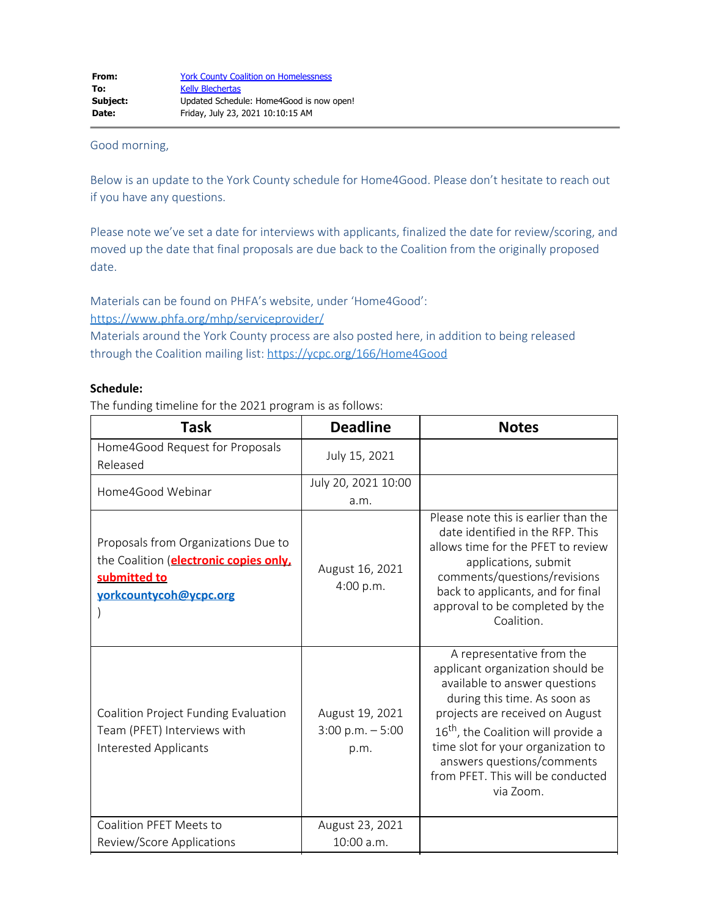#### Good morning,

Below is an update to the York County schedule for Home4Good. Please don't hesitate to reach out if you have any questions.

Please note we've set a date for interviews with applicants, finalized the date for review/scoring, and moved up the date that final proposals are due back to the Coalition from the originally proposed date.

Materials can be found on PHFA's website, under 'Home4Good':

<https://www.phfa.org/mhp/serviceprovider/>

Materials around the York County process are also posted here, in addition to being released through the Coalition mailing list:<https://ycpc.org/166/Home4Good>

#### **Schedule:**

The funding timeline for the 2021 program is as follows:

| <b>Task</b>                                                                                                                      | <b>Deadline</b>                                | <b>Notes</b>                                                                                                                                                                                                                                                                                                                               |
|----------------------------------------------------------------------------------------------------------------------------------|------------------------------------------------|--------------------------------------------------------------------------------------------------------------------------------------------------------------------------------------------------------------------------------------------------------------------------------------------------------------------------------------------|
| Home4Good Request for Proposals<br>Released                                                                                      | July 15, 2021                                  |                                                                                                                                                                                                                                                                                                                                            |
| Home4Good Webinar                                                                                                                | July 20, 2021 10:00                            |                                                                                                                                                                                                                                                                                                                                            |
|                                                                                                                                  | a.m.                                           |                                                                                                                                                                                                                                                                                                                                            |
| Proposals from Organizations Due to<br>the Coalition ( <b>electronic copies only</b> ,<br>submitted to<br>yorkcountycoh@ycpc.org | August 16, 2021<br>4:00 p.m.                   | Please note this is earlier than the<br>date identified in the RFP. This<br>allows time for the PFET to review<br>applications, submit<br>comments/questions/revisions<br>back to applicants, and for final<br>approval to be completed by the<br>Coalition.                                                                               |
| Coalition Project Funding Evaluation<br>Team (PFET) Interviews with<br><b>Interested Applicants</b>                              | August 19, 2021<br>$3:00$ p.m. $-5:00$<br>p.m. | A representative from the<br>applicant organization should be<br>available to answer questions<br>during this time. As soon as<br>projects are received on August<br>16 <sup>th</sup> , the Coalition will provide a<br>time slot for your organization to<br>answers questions/comments<br>from PFET. This will be conducted<br>via Zoom. |
| Coalition PFET Meets to<br>Review/Score Applications                                                                             | August 23, 2021<br>10:00 a.m.                  |                                                                                                                                                                                                                                                                                                                                            |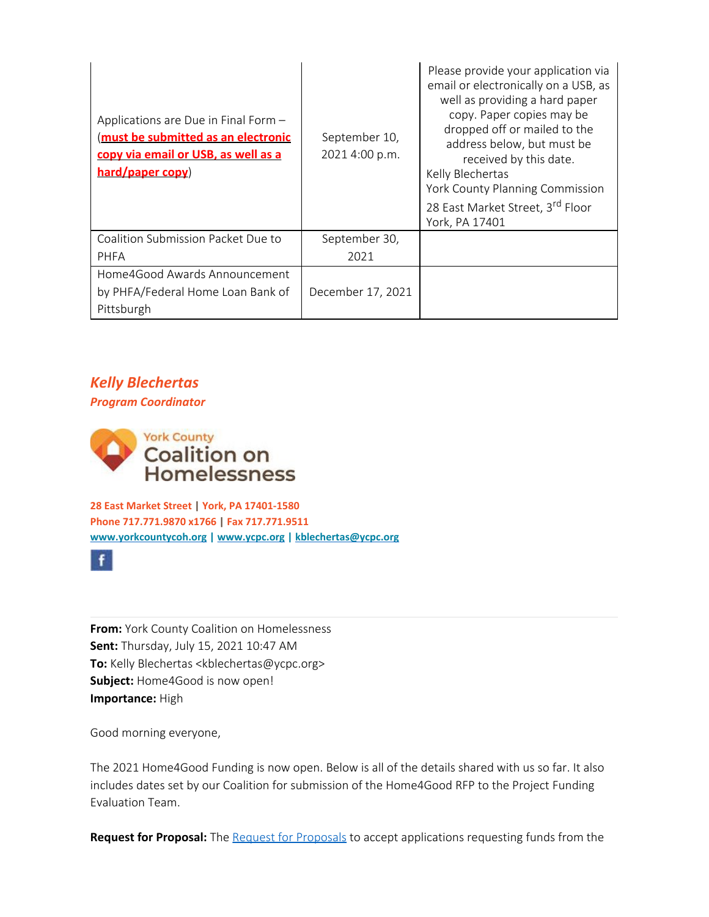| Applications are Due in Final Form -<br>must be submitted as an electronic<br>copy via email or USB, as well as a<br>hard/paper copy) | September 10,<br>2021 4:00 p.m. | Please provide your application via<br>email or electronically on a USB, as<br>well as providing a hard paper<br>copy. Paper copies may be<br>dropped off or mailed to the<br>address below, but must be<br>received by this date.<br>Kelly Blechertas<br>York County Planning Commission |
|---------------------------------------------------------------------------------------------------------------------------------------|---------------------------------|-------------------------------------------------------------------------------------------------------------------------------------------------------------------------------------------------------------------------------------------------------------------------------------------|
|                                                                                                                                       |                                 | 28 East Market Street, 3rd Floor<br>York, PA 17401                                                                                                                                                                                                                                        |
| Coalition Submission Packet Due to                                                                                                    | September 30,                   |                                                                                                                                                                                                                                                                                           |
| <b>PHFA</b>                                                                                                                           | 2021                            |                                                                                                                                                                                                                                                                                           |
| Home4Good Awards Announcement<br>by PHFA/Federal Home Loan Bank of<br>Pittsburgh                                                      | December 17, 2021               |                                                                                                                                                                                                                                                                                           |

# *Kelly Blechertas*

*Program Coordinator*



**28 East Market Street | York, PA 17401-1580 Phone 717.771.9870 x1766 | Fax 717.771.9511 [www.yorkcountycoh.org](http://www.yorkcountycoh.org/) | [www.ycpc.org](http://www.ycpc.org/) | [kblechertas@ycpc.org](mailto:kblechertas@ycpc.org)**

 $f$ 

**From:** York County Coalition on Homelessness **Sent:** Thursday, July 15, 2021 10:47 AM **To:** Kelly Blechertas <kblechertas@ycpc.org> **Subject:** Home4Good is now open! **Importance:** High

Good morning everyone,

The 2021 Home4Good Funding is now open. Below is all of the details shared with us so far. It also includes dates set by our Coalition for submission of the Home4Good RFP to the Project Funding Evaluation Team.

Request for Proposal: The [Request for Proposals](https://linkprotect.cudasvc.com/url?a=https%3a%2f%2fwww.phfa.org%2fforms%2fhome4good%2f2021_home4good_rfp_final.pdf&c=E,1,FEl7u3XTFlo1fliN732CvxgpFPCMkQcL4eKSyjoUtqDJMRMGcwWoOdVQuCMqxT4heie9FIHgfls5biDqrSGwUoEO9-Kv5orIYqxlVLk5-Ric&typo=1) to accept applications requesting funds from the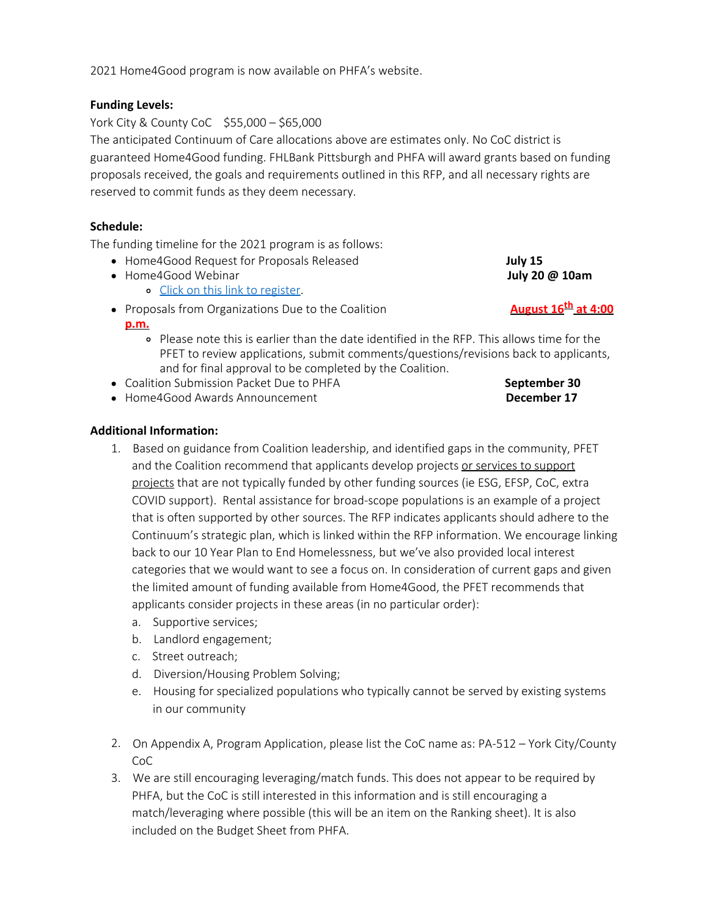2021 Home4Good program is now available on PHFA's website.

## **Funding Levels:**

York City & County CoC \$55,000 – \$65,000

The anticipated Continuum of Care allocations above are estimates only. No CoC district is guaranteed Home4Good funding. FHLBank Pittsburgh and PHFA will award grants based on funding proposals received, the goals and requirements outlined in this RFP, and all necessary rights are reserved to commit funds as they deem necessary.

## **Schedule:**

The funding timeline for the 2021 program is as follows:

- Home4Good Request for Proposals Released **July 15**
- **Home4Good Webinar <b>July 20 @ 10am** 
	- o [Click on this link to register.](https://pahousing.webex.com/mw3300/mywebex/default.do?nomenu=true&siteurl=pahousing&service=6&rnd=0.8211656136875957&main_url=https%3A%2F%2Fpahousing.webex.com%2Fec3300%2Feventcenter%2Fevent%2FeventAction.do%3FtheAction%3Ddetail%26%26%26EMK%3D4832534b00000005de49fd6d65903c021a421e99aed454358f8e56fd349a51ac06b7d73c0e129c22%26siteurl%3Dpahousing%26confViewID%3D199733969090024306%26encryptTicket%3DSDJTSwAAAAXlY0fvhGLAj0Rnwb6efa06t1gBkqMAt7hWZnu4QPdlsw2%26)
- Proposals from Organizations Due to the Coalition **August 16<sup>th</sup> at 4:00 p.m.**
	- Please note this is earlier than the date identified in the RFP. This allows time for the PFET to review applications, submit comments/questions/revisions back to applicants, and for final approval to be completed by the Coalition.
- Coalition Submission Packet Due to PHFA **September 30**
- Home4Good Awards Announcement **December 17**

## **Additional Information:**

- 1. Based on guidance from Coalition leadership, and identified gaps in the community, PFET and the Coalition recommend that applicants develop projects or services to support projects that are not typically funded by other funding sources (ie ESG, EFSP, CoC, extra COVID support). Rental assistance for broad-scope populations is an example of a project that is often supported by other sources. The RFP indicates applicants should adhere to the Continuum's strategic plan, which is linked within the RFP information. We encourage linking back to our 10 Year Plan to End Homelessness, but we've also provided local interest categories that we would want to see a focus on. In consideration of current gaps and given the limited amount of funding available from Home4Good, the PFET recommends that applicants consider projects in these areas (in no particular order):
	- a. Supportive services;
	- b. Landlord engagement;
	- c. Street outreach;
	- d. Diversion/Housing Problem Solving;
	- e. Housing for specialized populations who typically cannot be served by existing systems in our community
- 2. On Appendix A, Program Application, please list the CoC name as: PA-512 York City/County CoC
- 3. We are still encouraging leveraging/match funds. This does not appear to be required by PHFA, but the CoC is still interested in this information and is still encouraging a match/leveraging where possible (this will be an item on the Ranking sheet). It is also included on the Budget Sheet from PHFA.